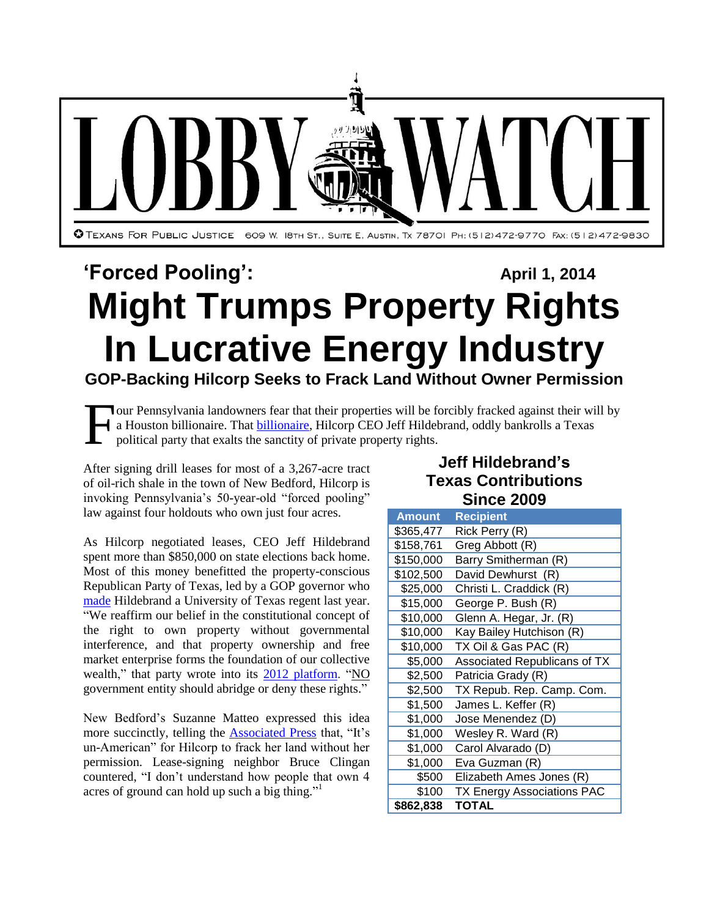

## **'Forced Pooling':** April 1, 2014 **Might Trumps Property Rights In Lucrative Energy Industry GOP-Backing Hilcorp Seeks to Frack Land Without Owner Permission**

our Pennsylvania landowners fear that their properties will be forcibly fracked against their will by a Houston billionaire. That **billionaire**, Hilcorp CEO Jeff Hildebrand, oddly bankrolls a Texas political party that exalts the sanctity of private property rights. F

After signing drill leases for most of a 3,267-acre tract of oil-rich shale in the town of New Bedford, Hilcorp is invoking Pennsylvania's 50-year-old "forced pooling" law against four holdouts who own just four acres.

As Hilcorp negotiated leases, CEO Jeff Hildebrand spent more than \$850,000 on state elections back home. Most of this money benefitted the property-conscious Republican Party of Texas, led by a GOP governor who [made](http://trailblazersblog.dallasnews.com/2013/02/gov-perry-appoints-two-new-regents-to-ut-reappoints-one.html/) Hildebrand a University of Texas regent last year. "We reaffirm our belief in the constitutional concept of the right to own property without governmental interference, and that property ownership and free market enterprise forms the foundation of our collective wealth," that party wrote into its [2012 platform.](http://www.texasgop.org/wp-content/themes/rpt/images/2012Platform_Final.pdf) "NO government entity should abridge or deny these rights."

New Bedford's Suzanne Matteo expressed this idea more succinctly, telling the [Associated Press](http://bigstory.ap.org/article/neighbors-bicker-pa-over-forced-gas-drilling) that, "It's un-American" for Hilcorp to frack her land without her permission. Lease-signing neighbor Bruce Clingan countered, "I don't understand how people that own 4 acres of ground can hold up such a big thing."<sup>1</sup>

## **Jeff Hildebrand's Texas Contributions Since 2009**

| <b>Amount</b> | <b>Recipient</b>             |
|---------------|------------------------------|
| \$365,477     | Rick Perry (R)               |
| \$158,761     | Greg Abbott (R)              |
| \$150,000     | Barry Smitherman (R)         |
| \$102,500     | David Dewhurst (R)           |
| \$25,000      | Christi L. Craddick (R)      |
| \$15,000      | George P. Bush (R)           |
| \$10,000      | Glenn A. Hegar, Jr. (R)      |
| \$10,000      | Kay Bailey Hutchison (R)     |
| \$10,000      | TX Oil & Gas PAC (R)         |
| \$5,000       | Associated Republicans of TX |
| \$2,500       | Patricia Grady (R)           |
| \$2,500       | TX Repub. Rep. Camp. Com.    |
| \$1,500       | James L. Keffer (R)          |
| \$1,000       | Jose Menendez (D)            |
| \$1,000       | Wesley R. Ward (R)           |
| \$1,000       | Carol Alvarado (D)           |
| \$1,000       | Eva Guzman (R)               |
| \$500         | Elizabeth Ames Jones (R)     |
| \$100         | TX Energy Associations PAC   |
| \$862,838     | <b>TOTAL</b>                 |